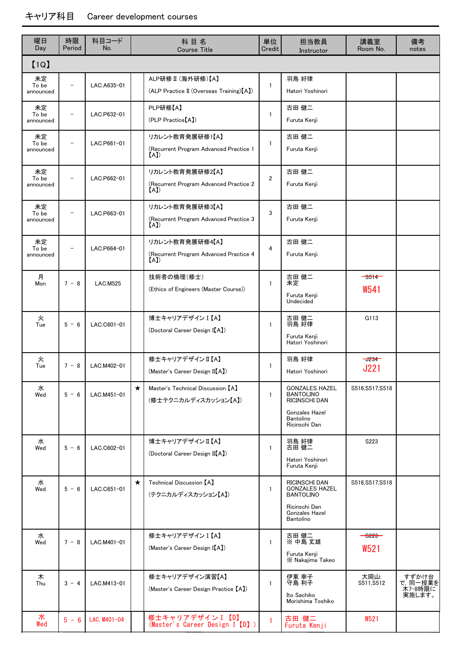| 曜日<br>Day                | 時限<br>Period             | 科目コード<br>No.    | 科目名<br><b>Course Title</b>                                           |                | 担当教員<br>Instructor                                                                                                       | 講義室<br>Room No.                             | 備考<br>notes                                     |  |  |  |
|--------------------------|--------------------------|-----------------|----------------------------------------------------------------------|----------------|--------------------------------------------------------------------------------------------------------------------------|---------------------------------------------|-------------------------------------------------|--|--|--|
| [1Q]                     |                          |                 |                                                                      |                |                                                                                                                          |                                             |                                                 |  |  |  |
| 未定<br>To be<br>announced | $\overline{\phantom{0}}$ | LAC.A635-01     | ALP研修 II (海外研修)【A】<br>(ALP Practice II (Overseas Training) [A])      | 1              | 羽鳥 好律<br>Hatori Yoshinori                                                                                                |                                             |                                                 |  |  |  |
| 未定<br>To be<br>announced | $\overline{\phantom{m}}$ | LAC.P632-01     | PLP研修【A】<br>(PLP Practice <sup>[A])</sup>                            | $\mathbf{1}$   | 古田 健二<br>Furuta Kenji                                                                                                    |                                             |                                                 |  |  |  |
| 未定<br>To be<br>announced |                          | LAC.P661-01     | リカレント教育発展研修1【A】<br>(Recurrent Program Advanced Practice 1<br>(A)     | $\mathbf{1}$   | 古田 健二<br>Furuta Kenji                                                                                                    |                                             |                                                 |  |  |  |
| 未定<br>To be<br>announced |                          | LAC.P662-01     | リカレント教育発展研修2【A】<br>(Recurrent Program Advanced Practice 2<br>(A)     | $\overline{2}$ | 古田 健二<br>Furuta Kenji                                                                                                    |                                             |                                                 |  |  |  |
| 未定<br>To be<br>announced |                          | LAC.P663-01     | リカレント教育発展研修3【A】<br>(Recurrent Program Advanced Practice 3<br>(A)     | 3              | 古田 健二<br>Furuta Kenji                                                                                                    |                                             |                                                 |  |  |  |
| 未定<br>To be<br>announced |                          | LAC.P664-01     | リカレント教育発展研修4【A】<br>(Recurrent Program Advanced Practice 4<br>(A)     | 4              | 古田 健二<br>Furuta Kenii                                                                                                    |                                             |                                                 |  |  |  |
| 月<br>Mon                 | $7 - 8$                  | <b>LAC.M525</b> | 技術者の倫理(修士)<br>(Ethics of Engineers (Master Course))                  | $\mathbf{1}$   | 古田 健二<br>未定<br>Furuta Kenji<br>Undecided                                                                                 | $-$ S514 $-$<br>W541                        |                                                 |  |  |  |
| 火<br>Tue                 | $5 - 6$                  | LAC.C601-01     | 博士キャリアデザイン I 【A】<br>(Doctoral Career Design I(A)                     | $\mathbf{1}$   | 古田 健二<br>羽鳥 好律<br>Furuta Kenji<br>Hatori Yoshinori                                                                       | G113                                        |                                                 |  |  |  |
| 火<br>Tue                 | $7 - 8$                  | LAC.M402-01     | 修士キャリアデザインII【A】<br>(Master's Career Design II(A))                    | 1              | 羽鳥 好律<br>Hatori Yoshinori                                                                                                | $-1234-$<br>J221                            |                                                 |  |  |  |
| 水<br>Wed                 | $5 - 6$                  | LAC.M451-01     | $\star$<br>Master's Technical Discussion [A]<br>(修士テクニカルディスカッション【A】) | $\mathbf{1}$   | <b>GONZALES HAZEL</b><br><b>BANTOLINO</b><br><b>RICINSCHI DAN</b><br><b>Gonzales Hazel</b><br>Bantolino<br>Ricinschi Dan | S516.S517.S518                              |                                                 |  |  |  |
| 水<br>Wed                 | $5 - 6$                  | LAC.C602-01     | 博士キャリアデザインⅡ【A】<br>(Doctoral Career Design II(A)                      | $\mathbf{1}$   | 羽鳥 好律<br>古田 健二<br>Hatori Yoshinori<br>Furuta Kenii                                                                       | S223                                        |                                                 |  |  |  |
| 水<br>Wed                 | $5 - 6$                  | LAC.C651-01     | $\star$<br>Technical Discussion [A]<br>(テクニカルディスカッション【A】)            | $\mathbf{1}$   | <b>RICINSCHI DAN</b><br><b>GONZALES HAZEL</b><br><b>BANTOLINO</b><br>Ricinschi Dan<br><b>Gonzales Hazel</b><br>Bantolino | S516,S517,S518                              |                                                 |  |  |  |
| 水<br>Wed                 | $7 - 8$                  | LAC.M401-01     | 修士キャリアデザイン I 【A】<br>(Master's Career Design I(A)                     | $\mathbf{1}$   | 古田 健二<br>※ 中島 丈雄<br>Furuta Kenji<br>X Nakajima Takeo                                                                     | $-$ <del>6223</del> $-$<br>W <sub>521</sub> |                                                 |  |  |  |
| 木<br>Thu                 | $3 - 4$                  | LAC.M413-01     | 修士キャリアデザイン演習【A】<br>(Master's Career Design Practice [A])             | $\mathbf{1}$   | 伊東 幸子<br>守島 利子<br>Ito Sachiko<br>Morishima Toshiko                                                                       | 大岡山:<br>S511, S512                          | すずかけ台<br>で, 同一 <u>授</u> 業を<br>木7-8時限に<br>実施します。 |  |  |  |
| 水<br>Wed                 | $5 - 6$                  | LAC. M401-04    | 修士キャリアデザインI 【D】<br>(Master's Career Design I [D])                    | $\mathbf{1}$   | 古田 健二<br>Furuta Kenji                                                                                                    | W521                                        |                                                 |  |  |  |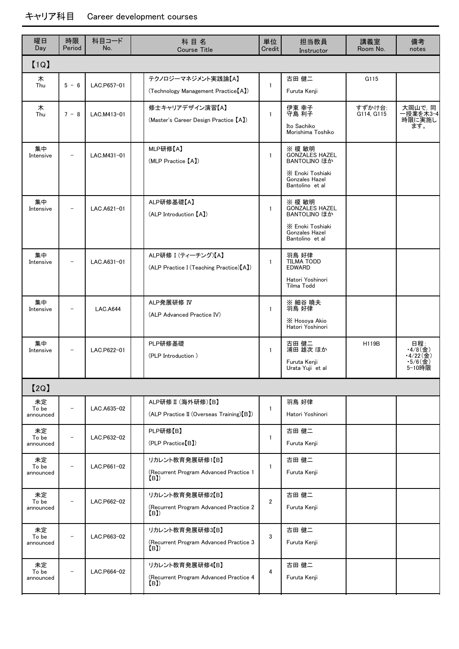| 曜日<br>Day                | 時限<br>Period | 科目コード<br>No.    | 科目名<br><b>Course Title</b>                                       |                | 担当教員<br>Instructor                                                                                              | 講義室<br>Room No.      | 備考<br>notes                                         |
|--------------------------|--------------|-----------------|------------------------------------------------------------------|----------------|-----------------------------------------------------------------------------------------------------------------|----------------------|-----------------------------------------------------|
| [1Q]                     |              |                 |                                                                  |                |                                                                                                                 |                      |                                                     |
| 木<br>Thu                 | $5 - 6$      | LAC.P657-01     | テクノロジーマネジメント実践論【A】<br>(Technology Management Practice [A])       | $\mathbf{1}$   | 古田 健二<br>Furuta Kenji                                                                                           | G115                 |                                                     |
| 木<br>Thu                 | $7 - 8$      | LAC.M413-01     | 修士キャリアデザイン演習【A】<br>(Master's Career Design Practice [A])         | $\mathbf{1}$   | 伊東 幸子<br>守島 利子<br>Ito Sachiko<br>Morishima Toshiko                                                              | すずかけ台:<br>G114, G115 | 大岡山で, 同<br>一授業を木3-4<br>時限に実施し<br>ます。                |
| 集中<br>Intensive          |              | LAC.M431-01     | MLP研修【A】<br>(MLP Practice [A])                                   | $\mathbf{1}$   | ※ 榎 敏明<br><b>GONZALES HAZEL</b><br>BANTOLINO ほか<br>X Enoki Toshiaki<br><b>Gonzales Hazel</b><br>Bantolino et al |                      |                                                     |
| 集中<br>Intensive          |              | LAC.A621-01     | ALP研修基礎【A】<br>(ALP Introduction [A])                             | $\mathbf{1}$   | ※ 榎 敏明<br><b>GONZALES HAZEL</b><br>BANTOLINO ほか<br>X Enoki Toshiaki<br><b>Gonzales Hazel</b><br>Bantolino et al |                      |                                                     |
| 集中<br>Intensive          |              | LAC.A631-01     | ALP研修 I (ティーチング)【A】<br>(ALP Practice I (Teaching Practice) [A])  | $\mathbf{1}$   | 羽鳥 好律<br><b>TILMA TODD</b><br><b>EDWARD</b><br>Hatori Yoshinori<br>Tilma Todd                                   |                      |                                                     |
| 集中<br>Intensive          |              | <b>LAC.A644</b> | ALP発展研修 IV<br>(ALP Advanced Practice IV)                         | $\mathbf{1}$   | ※ 細谷 曉夫<br>羽鳥 好律<br>X Hosoya Akio<br>Hatori Yoshinori                                                           |                      |                                                     |
| 集中<br>Intensive          |              | LAC.P622-01     | PLP研修基礎<br>(PLP Introduction)                                    | $\mathbf{1}$   | 古田 健二<br>浦田 雄次 ほか<br>Furuta Kenji<br>Urata Yuji et al                                                           | H119B                | 日程:<br>• $4/8$ (金)<br>•4/22(金)<br>•5/6(金)<br>5-10時限 |
| [2Q]                     |              |                 |                                                                  |                |                                                                                                                 |                      |                                                     |
| 未定<br>To be<br>announced |              | LAC.A635-02     | ALP研修 II (海外研修)【B】<br>(ALP Practice II (Overseas Training) [B])  | $\mathbf{1}$   | 羽鳥 好律<br>Hatori Yoshinori                                                                                       |                      |                                                     |
| 未定<br>To be<br>announced |              | LAC.P632-02     | PLP研修【B】<br>(PLP Practice <sup>[B]</sup> )                       | $\mathbf{1}$   | 古田 健二<br>Furuta Kenji                                                                                           |                      |                                                     |
| 未定<br>To be<br>announced |              | LAC.P661-02     | リカレント教育発展研修1【B】<br>(Recurrent Program Advanced Practice 1<br>(B) | $\mathbf{1}$   | 古田 健二<br>Furuta Kenji                                                                                           |                      |                                                     |
| 未定<br>To be<br>announced |              | LAC.P662-02     | リカレント教育発展研修2【B】<br>(Recurrent Program Advanced Practice 2<br>(B) | $\overline{2}$ | 古田 健二<br>Furuta Kenji                                                                                           |                      |                                                     |
| 未定<br>To be<br>announced |              | LAC.P663-02     | リカレント教育発展研修3【B】<br>(Recurrent Program Advanced Practice 3<br>(B) | 3              | 古田 健二<br>Furuta Kenji                                                                                           |                      |                                                     |
| 未定<br>To be<br>announced |              | LAC.P664-02     | リカレント教育発展研修4【B】<br>(Recurrent Program Advanced Practice 4<br>(B) | 4              | 古田 健二<br>Furuta Kenji                                                                                           |                      |                                                     |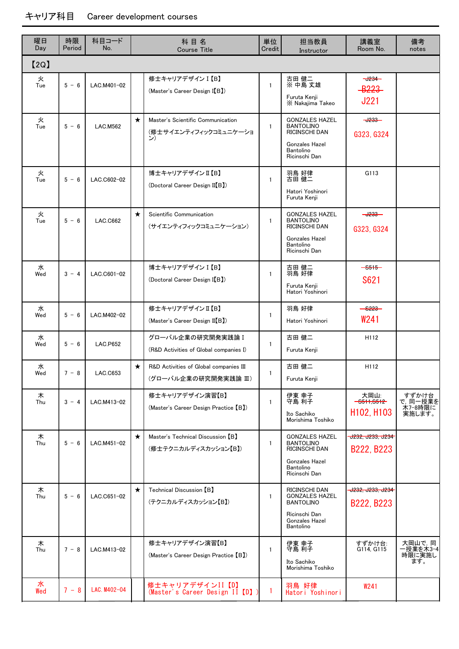| 曜日<br>Day | 時限<br>Period | 科目コード<br>No.    |         | 科目名<br><b>Course Title</b>                                       | 単位<br>Credit | 担当教員<br>Instructor                                                                                                | 講義室<br>Room No.                                              | 備考<br>notes                               |
|-----------|--------------|-----------------|---------|------------------------------------------------------------------|--------------|-------------------------------------------------------------------------------------------------------------------|--------------------------------------------------------------|-------------------------------------------|
| [2Q]      |              |                 |         |                                                                  |              |                                                                                                                   |                                                              |                                           |
| 火<br>Tue  | $5 - 6$      | LAC.M401-02     |         | 修士キャリアデザイン I 【B】<br>(Master's Career Design I(B)                 | $\mathbf{1}$ | 古田 健二<br>※ 中島 丈雄<br>Furuta Kenji<br>X Nakajima Takeo                                                              | $-1234-$<br><b>B223</b><br><b>J221</b>                       |                                           |
| 火<br>Tue  | $5 - 6$      | <b>LAC.M562</b> | $\star$ | Master's Scientific Communication<br>(修士サイエンティフィックコミュニケーショ<br>ン) | $\mathbf{1}$ | <b>GONZALES HAZEL</b><br><b>BANTOLINO</b><br>RICINSCHI DAN<br>Gonzales Hazel<br>Bantolino<br>Ricinschi Dan        | $-4233-$<br>G323, G324                                       |                                           |
| 火<br>Tue  | $5 - 6$      | LAC.C602-02     |         | 博士キャリアデザインⅡ【B】<br>(Doctoral Career Design II[B])                 | $\mathbf{1}$ | 羽鳥 好律<br>古田 健二<br>Hatori Yoshinori<br>Furuta Kenji                                                                | G113                                                         |                                           |
| 火<br>Tue  | $5 - 6$      | LAC.C662        | $\star$ | Scientific Communication<br>(サイエンティフィックコミュニケーション)                | $\mathbf{1}$ | <b>GONZALES HAZEL</b><br><b>BANTOLINO</b><br>RICINSCHI DAN<br><b>Gonzales Hazel</b><br>Bantolino<br>Ricinschi Dan | $-0233-$<br>G323, G324                                       |                                           |
| 水<br>Wed  | $3 - 4$      | LAC.C601-02     |         | 博士キャリアデザイン I 【B】<br>(Doctoral Career Design I(B)                 | $\mathbf{1}$ | 古田 健二<br>羽鳥 好律<br>Furuta Kenji<br>Hatori Yoshinori                                                                | $-6515-$<br>S621                                             |                                           |
| 水<br>Wed  | $5 - 6$      | LAC.M402-02     |         | 修士キャリアデザインⅡ【B】<br>(Master's Career Design II[B])                 | $\mathbf{1}$ | 羽鳥 好律<br>Hatori Yoshinori                                                                                         | <del>- 6223 -</del><br>W <sub>241</sub>                      |                                           |
| 水<br>Wed  | $5 - 6$      | <b>LAC.P652</b> |         | グローバル企業の研究開発実践論 I<br>(R&D Activities of Global companies I)      | $\mathbf{1}$ | 古田 健二<br>Furuta Kenji                                                                                             | H112                                                         |                                           |
| 水<br>Wed  | $7 - 8$      | LAC.C653        | $\star$ | R&D Activities of Global companies III<br>(グローバル企業の研究開発実践論 III)  | $\mathbf{1}$ | 古田 健二<br>Furuta Kenji                                                                                             | H112                                                         |                                           |
| 木<br>Thu  | $3 - 4$      | LAC.M413-02     |         | 修士キャリアデザイン演習【B】<br>(Master's Career Design Practice [B])         | $\mathbf{1}$ | 伊東 幸子<br>守島 利子<br>Ito Sachiko<br>Morishima Toshiko                                                                | 大岡山:<br>$-3511,5512-$<br>H <sub>102</sub> , H <sub>103</sub> | すずかけ台<br>で, 同一授業を<br>- ネワー8時限に<br>実施します。  |
| 木<br>Thu  | $5 - 6$      | LAC.M451-02     | $\star$ | Master's Technical Discussion [B]<br>(修士テクニカルディスカッション【B】)        | $\mathbf{1}$ | <b>GONZALES HAZEL</b><br><b>BANTOLINO</b><br>RICINSCHI DAN<br>Gonzales Hazel<br>Bantolino<br>Ricinschi Dan        | J232, J233, J234<br>B222, B223                               |                                           |
| 木<br>Thu  | $5 - 6$      | LAC.C651-02     | $\star$ | Technical Discussion [B]<br>(テクニカルディスカッション【B】)                   | $\mathbf{1}$ | RICINSCHI DAN<br><b>GONZALES HAZEL</b><br><b>BANTOLINO</b><br>Ricinschi Dan<br><b>Gonzales Hazel</b><br>Bantolino | J232, J233, J234<br>B222, B223                               |                                           |
| 木<br>Thu  | $7 - 8$      | LAC.M413-02     |         | 修士キャリアデザイン演習【B】<br>(Master's Career Design Practice [B])         | $\mathbf{1}$ | 伊東 幸子<br>守島 利子<br>Ito Sachiko<br>Morishima Toshiko                                                                | すずかけ台:<br>G114, G115                                         | 大岡山で, 同<br>一授業を木3-4<br>…<br>時限に実施し<br>ます。 |
| 水<br>Wed  | $7 - 8$      | LAC. M402-04    |         | 修士キャリアデザインII【D】<br>(Master's Career Design II【D】)                | 1            | 羽鳥 好律<br>Hatori Yoshinori                                                                                         | W241                                                         |                                           |